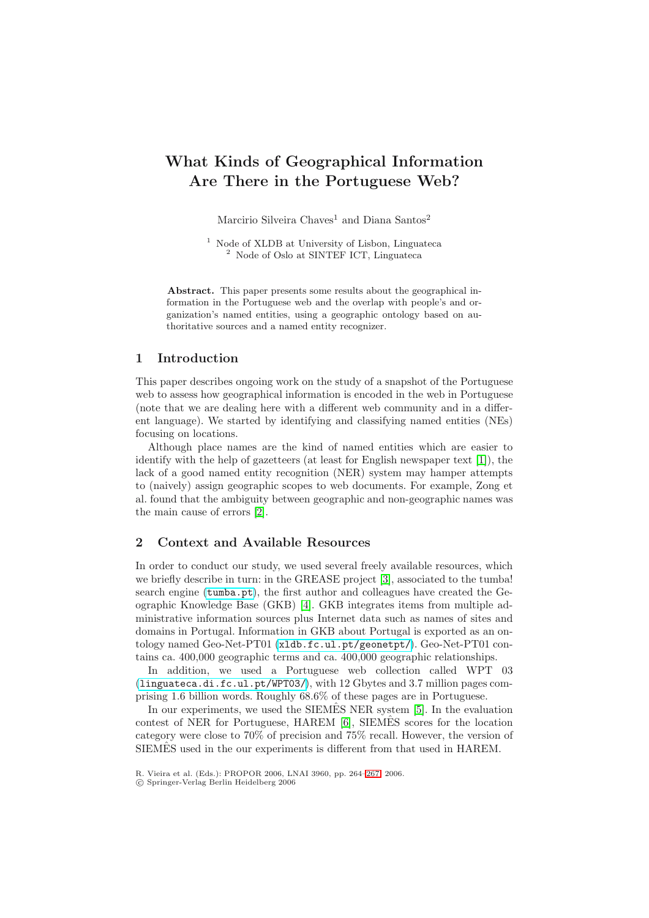# **What Kinds of Geographical Information Are There in the Portuguese Web?**

Marcirio Silveira Chaves<sup>1</sup> and Diana Santos<sup>2</sup>

<sup>1</sup> Node of XLDB at University of Lisbon, Linguateca <sup>2</sup> Node of Oslo at SINTEF ICT, Linguateca

**Abstract.** This paper presents some results about the geographical information in the Portuguese web and the overlap with people's and organization's named entities, using a geographic ontology based on authoritative sources and a named entity recognizer.

# **1 Introduction**

This paper describes ongoing work on the study of a snapshot of the Portuguese web to assess how geographical information is encoded in the web in Portuguese (note that we are dealing here with a different web community and in a different language). We started by identifying and classifying named entities (NEs) focusing on locations.

Although place names are the kind of named entities which are easier to identify with the help of gazetteers (at least for English newspaper text [\[1\]](#page-3-0)), the lack of a good named entity recognition (NER) system may hamper attempts to (naively) assign geographic scopes to web documents. For example, Zong et al. found that the ambiguity between geographic and non-geographic names was the main cause of errors [\[2\]](#page-3-1).

# **2 Context and Available Resources**

In order to conduct our study, we used several freely available resources, which we briefly describe in turn: in the GREASE project [\[3\]](#page-3-2), associated to the tumba! search engine (<tumba.pt>), the first author and colleagues have created the Geographic Knowledge Base (GKB) [\[4\]](#page-3-3). GKB integrates items from multiple administrative information sources plus Internet data such as names of sites and domains in Portugal. Information in GKB about Portugal is exported as an ontology named Geo-Net-PT01 (<xldb.fc.ul.pt/geonetpt/>). Geo-Net-PT01 contains ca. 400,000 geographic terms and ca. 400,000 geographic relationships.

In addition, we used a Portuguese web collection called WPT 03 (<linguateca.di.fc.ul.pt/WPT03/>), with 12 Gbytes and 3.7 million pages comprising 1.6 billion words. Roughly 68.6% of these pages are in Portuguese.

In our experiments, we used the SIEMES NER system  $[5]$ . In the evaluation contest of NER for Portuguese,  $HAREN [6]$  $HAREN [6]$ ,  $SIEMÊS$  scores for the location category were close to 70% of precision and 75% recall. However, the version of SIEMES used in the our experiments is different from that used in HAREM.

R. Vieira et al. (Eds.): PROPOR 2006, LNAI 3960, pp. 264[–267,](#page-3-0) 2006.

<sup>-</sup>c Springer-Verlag Berlin Heidelberg 2006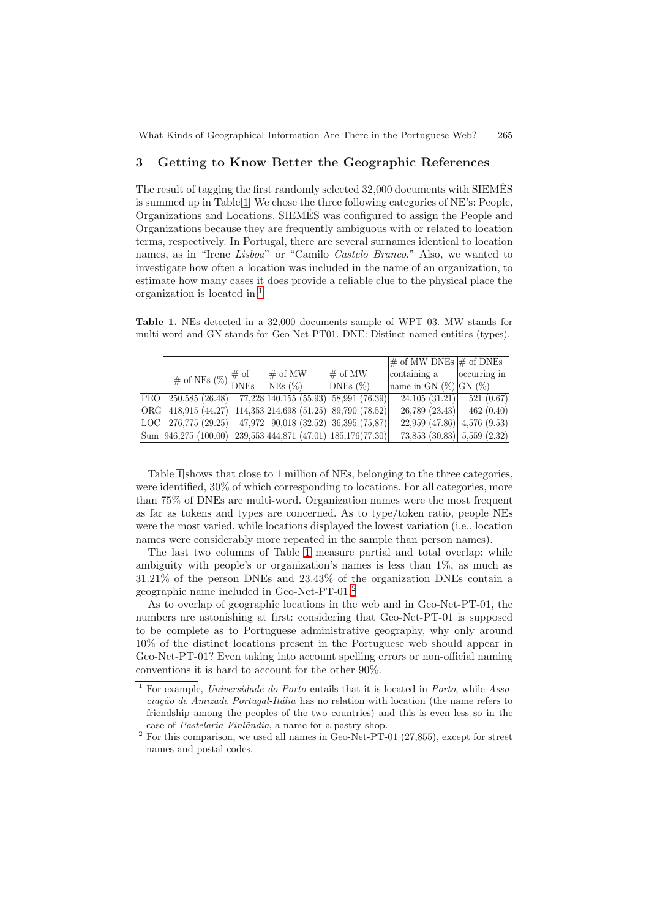# **3 Getting to Know Better the Geographic References**

The result of tagging the first randomly selected 32,000 documents with SIEMES is summed up in Table [1.](#page-1-0) We chose the three following categories of NE's: People, Organizations and Locations. SIEMES was configured to assign the People and ˆ Organizations because they are frequently ambiguous with or related to location terms, respectively. In Portugal, there are several surnames identical to location names, as in "Irene Lisboa" or "Camilo Castelo Branco." Also, we wanted to investigate how often a location was included in the name of an organization, to estimate how many cases it does provide a reliable clue to the physical place the organization is located in.[1](#page-1-1)

<span id="page-1-0"></span>**Table 1.** NEs detected in a 32,000 documents sample of WPT 03. MW stands for multi-word and GN stands for Geo-Net-PT01. DNE: Distinct named entities (types).

|  |                                                                            |                                                     |               | $\#$ of MW DNEs $\#$ of DNEs        |              |
|--|----------------------------------------------------------------------------|-----------------------------------------------------|---------------|-------------------------------------|--------------|
|  | # of NEs $(\%)\begin{vmatrix} \# & \text{of} \\ \text{DNEs} \end{vmatrix}$ | $\#$ of MW                                          | $\#$ of MW    | containing a                        | occurring in |
|  |                                                                            | $NEs$ $(\%)$                                        | $DNEs$ $(\%)$ | hame in GN $(\%)$ GN $(\%)$         |              |
|  | $\overline{PEO 250,585 (26.48) 77,228 140,155 (55.93) 58,991 (76.39) }$    |                                                     |               | 24,105(31.21)                       | 521(0.67)    |
|  | ORG 418,915 (44.27)                                                        | 114,353 214,698(51.25) 89,790(78.52)                |               | $26,789$ (23.43)                    | 462(0.40)    |
|  | LOC   276,775 $(29.25)$                                                    | $47,972$ 90,018 (32.52) 36,395 (75,87)              |               | $22,959$ (47.86) 4,576 (9.53)       |              |
|  | Sum $ 946,275 (100.00) $                                                   | $\overline{239,553 444,871(47.01) 185,176(77.30) }$ |               | $73,853$ $(30.83)$ $5,559$ $(2.32)$ |              |

Table [1](#page-1-0) shows that close to 1 million of NEs, belonging to the three categories, were identified, 30% of which corresponding to locations. For all categories, more than 75% of DNEs are multi-word. Organization names were the most frequent as far as tokens and types are concerned. As to type/token ratio, people NEs were the most varied, while locations displayed the lowest variation (i.e., location names were considerably more repeated in the sample than person names).

The last two columns of Table [1](#page-1-0) measure partial and total overlap: while ambiguity with people's or organization's names is less than 1%, as much as 31.21% of the person DNEs and 23.43% of the organization DNEs contain a geographic name included in Geo-Net-PT-01.[2](#page-1-2)

As to overlap of geographic locations in the web and in Geo-Net-PT-01, the numbers are astonishing at first: considering that Geo-Net-PT-01 is supposed to be complete as to Portuguese administrative geography, why only around 10% of the distinct locations present in the Portuguese web should appear in Geo-Net-PT-01? Even taking into account spelling errors or non-official naming conventions it is hard to account for the other 90%.

<span id="page-1-1"></span><sup>&</sup>lt;sup>1</sup> For example, *Universidade do Porto* entails that it is located in *Porto*, while  $\hat{A}$ sso $ciac\tilde{a}o de Amizade Portugal-It\tilde{a}lia$  has no relation with location (the name refers to friendship among the peoples of the two countries) and this is even less so in the case of *Pastelaria Finlândia*, a name for a pastry shop.

<span id="page-1-2"></span><sup>&</sup>lt;sup>2</sup> For this comparison, we used all names in Geo-Net-PT-01 (27,855), except for street names and postal codes.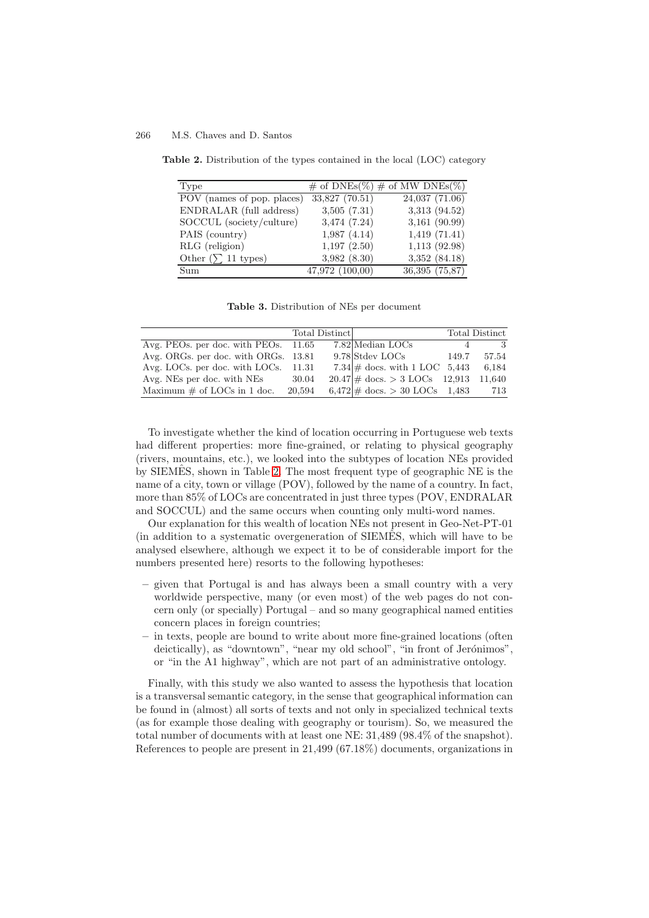#### <span id="page-2-0"></span>266 M.S. Chaves and D. Santos

| Type                       |                     | $\#$ of DNEs(%) $\#$ of MW DNEs(%) |
|----------------------------|---------------------|------------------------------------|
| POV (names of pop. places) | $33,827$ $(70.51)$  | $24,037$ $(71.06)$                 |
| ENDRALAR (full address)    | 3,505(7.31)         | 3,313 (94.52)                      |
| SOCCUL (society/culture)   | 3,474(7.24)         | $3,161$ (90.99)                    |
| PAIS (country)             | 1,987(4.14)         | 1,419(71.41)                       |
| RLG (religion)             | 1,197(2.50)         | 1,113(92.98)                       |
| Other $(\sum 11$ types)    | 3,982(8.30)         | 3,352(84.18)                       |
| Sum                        | $47,972$ $(100,00)$ | 36,395 (75,87)                     |

**Table 2.** Distribution of the types contained in the local (LOC) category

<span id="page-2-1"></span>**Table 3.** Distribution of NEs per document

|                                      |        | Total Distinct |                                                 |       | Total Distinct |
|--------------------------------------|--------|----------------|-------------------------------------------------|-------|----------------|
| Avg. PEOs. per doc. with PEOs. 11.65 |        |                | 7.82 Median LOCs                                |       |                |
| Avg. ORGs. per doc. with ORGs. 13.81 |        |                | 9.78 Stdev LOCs                                 | 149.7 | 57.54          |
| Avg. LOCs. per doc. with LOCs. 11.31 |        |                | $7.34 \#$ docs. with 1 LOC 5,443                |       | 6,184          |
| Avg. NEs per doc. with NEs           | 30.04  |                | $20.47 \# \text{ docs} > 3 \text{ LOCs}$ 12,913 |       | 11,640         |
| Maximum $\#$ of LOCs in 1 doc.       | 20,594 |                | $6,472 \# \text{ docs} > 30 \text{ LOCs}$ 1,483 |       | 713            |

To investigate whether the kind of location occurring in Portuguese web texts had different properties: more fine-grained, or relating to physical geography (rivers, mountains, etc.), we looked into the subtypes of location NEs provided by SIEMES, shown in Table [2.](#page-2-0) The most frequent type of geographic  $NE$  is the name of a city, town or village (POV), followed by the name of a country. In fact, more than 85% of LOCs are concentrated in just three types (POV, ENDRALAR and SOCCUL) and the same occurs when counting only multi-word names.

Our explanation for this wealth of location NEs not present in Geo-Net-PT-01 (in addition to a systematic overgeneration of SIEMES, which will have to be analysed elsewhere, although we expect it to be of considerable import for the numbers presented here) resorts to the following hypotheses:

- **–** given that Portugal is and has always been a small country with a very worldwide perspective, many (or even most) of the web pages do not concern only (or specially) Portugal – and so many geographical named entities concern places in foreign countries;
- **–** in texts, people are bound to write about more fine-grained locations (often deictically), as "downtown", "near my old school", "in front of Jerónimos", or "in the A1 highway", which are not part of an administrative ontology.

Finally, with this study we also wanted to assess the hypothesis that location is a transversal semantic category, in the sense that geographical information can be found in (almost) all sorts of texts and not only in specialized technical texts (as for example those dealing with geography or tourism). So, we measured the total number of documents with at least one NE: 31,489 (98.4% of the snapshot). References to people are present in 21,499 (67.18%) documents, organizations in